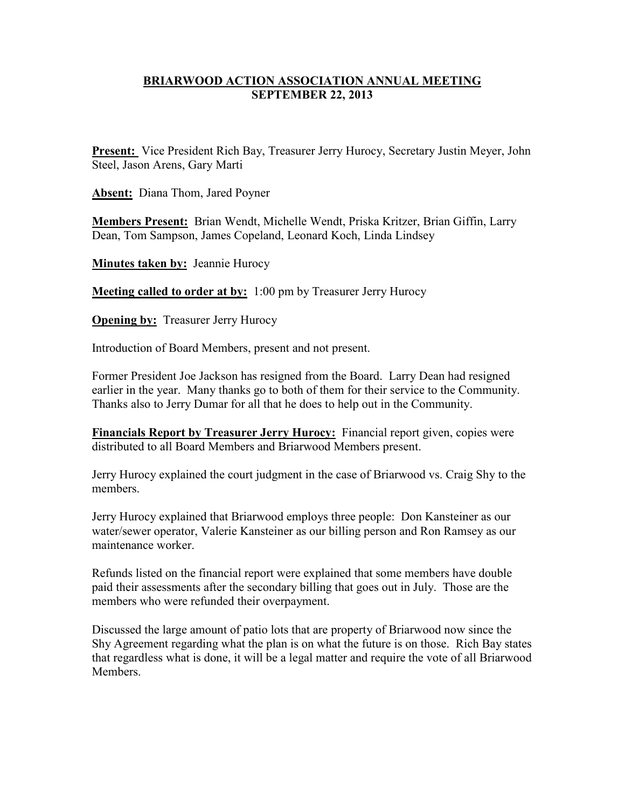### **BRIARWOOD ACTION ASSOCIATION ANNUAL MEETING SEPTEMBER 22, 2013**

**Present:** Vice President Rich Bay, Treasurer Jerry Hurocy, Secretary Justin Meyer, John Steel, Jason Arens, Gary Marti

**Absent:** Diana Thom, Jared Poyner

**Members Present:** Brian Wendt, Michelle Wendt, Priska Kritzer, Brian Giffin, Larry Dean, Tom Sampson, James Copeland, Leonard Koch, Linda Lindsey

**Minutes taken by:** Jeannie Hurocy

**Meeting called to order at by:** 1:00 pm by Treasurer Jerry Hurocy

**Opening by:** Treasurer Jerry Hurocy

Introduction of Board Members, present and not present.

Former President Joe Jackson has resigned from the Board. Larry Dean had resigned earlier in the year. Many thanks go to both of them for their service to the Community. Thanks also to Jerry Dumar for all that he does to help out in the Community.

**Financials Report by Treasurer Jerry Hurocy:** Financial report given, copies were distributed to all Board Members and Briarwood Members present.

Jerry Hurocy explained the court judgment in the case of Briarwood vs. Craig Shy to the members.

Jerry Hurocy explained that Briarwood employs three people: Don Kansteiner as our water/sewer operator, Valerie Kansteiner as our billing person and Ron Ramsey as our maintenance worker.

Refunds listed on the financial report were explained that some members have double paid their assessments after the secondary billing that goes out in July. Those are the members who were refunded their overpayment.

Discussed the large amount of patio lots that are property of Briarwood now since the Shy Agreement regarding what the plan is on what the future is on those. Rich Bay states that regardless what is done, it will be a legal matter and require the vote of all Briarwood **Members**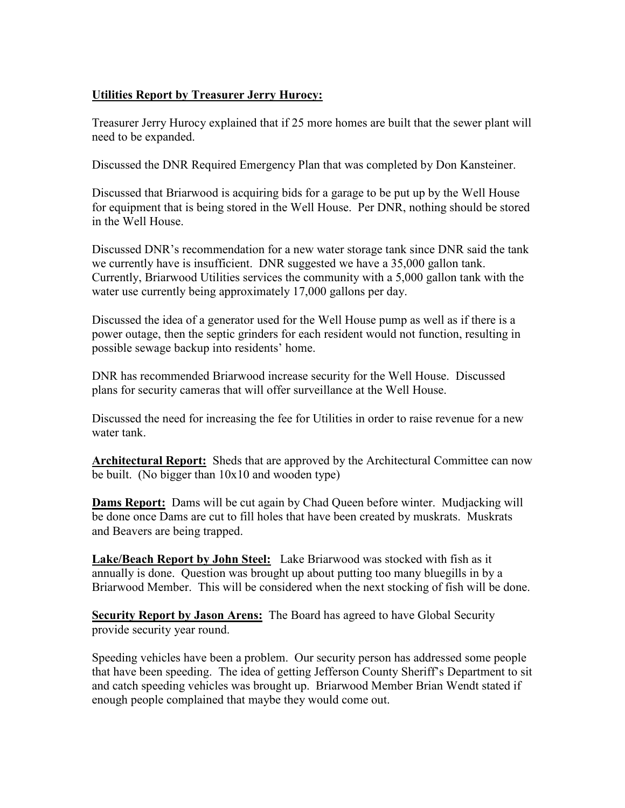# **Utilities Report by Treasurer Jerry Hurocy:**

Treasurer Jerry Hurocy explained that if 25 more homes are built that the sewer plant will need to be expanded.

Discussed the DNR Required Emergency Plan that was completed by Don Kansteiner.

Discussed that Briarwood is acquiring bids for a garage to be put up by the Well House for equipment that is being stored in the Well House. Per DNR, nothing should be stored in the Well House.

Discussed DNR's recommendation for a new water storage tank since DNR said the tank we currently have is insufficient. DNR suggested we have a 35,000 gallon tank. Currently, Briarwood Utilities services the community with a 5,000 gallon tank with the water use currently being approximately 17,000 gallons per day.

Discussed the idea of a generator used for the Well House pump as well as if there is a power outage, then the septic grinders for each resident would not function, resulting in possible sewage backup into residents' home.

DNR has recommended Briarwood increase security for the Well House. Discussed plans for security cameras that will offer surveillance at the Well House.

Discussed the need for increasing the fee for Utilities in order to raise revenue for a new water tank.

**Architectural Report:** Sheds that are approved by the Architectural Committee can now be built. (No bigger than 10x10 and wooden type)

**Dams Report:** Dams will be cut again by Chad Queen before winter. Mudjacking will be done once Dams are cut to fill holes that have been created by muskrats. Muskrats and Beavers are being trapped.

**Lake/Beach Report by John Steel:** Lake Briarwood was stocked with fish as it annually is done. Question was brought up about putting too many bluegills in by a Briarwood Member. This will be considered when the next stocking of fish will be done.

**Security Report by Jason Arens:** The Board has agreed to have Global Security provide security year round.

Speeding vehicles have been a problem. Our security person has addressed some people that have been speeding. The idea of getting Jefferson County Sheriff's Department to sit and catch speeding vehicles was brought up. Briarwood Member Brian Wendt stated if enough people complained that maybe they would come out.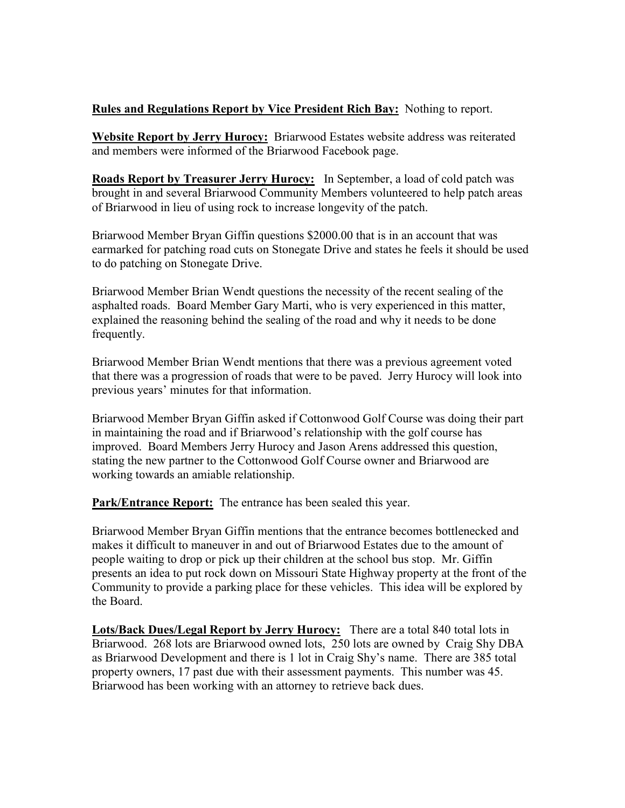## **Rules and Regulations Report by Vice President Rich Bay:** Nothing to report.

**Website Report by Jerry Hurocy:** Briarwood Estates website address was reiterated and members were informed of the Briarwood Facebook page.

**Roads Report by Treasurer Jerry Hurocy:** In September, a load of cold patch was brought in and several Briarwood Community Members volunteered to help patch areas of Briarwood in lieu of using rock to increase longevity of the patch.

Briarwood Member Bryan Giffin questions \$2000.00 that is in an account that was earmarked for patching road cuts on Stonegate Drive and states he feels it should be used to do patching on Stonegate Drive.

Briarwood Member Brian Wendt questions the necessity of the recent sealing of the asphalted roads. Board Member Gary Marti, who is very experienced in this matter, explained the reasoning behind the sealing of the road and why it needs to be done frequently.

Briarwood Member Brian Wendt mentions that there was a previous agreement voted that there was a progression of roads that were to be paved. Jerry Hurocy will look into previous years' minutes for that information.

Briarwood Member Bryan Giffin asked if Cottonwood Golf Course was doing their part in maintaining the road and if Briarwood's relationship with the golf course has improved. Board Members Jerry Hurocy and Jason Arens addressed this question, stating the new partner to the Cottonwood Golf Course owner and Briarwood are working towards an amiable relationship.

**Park/Entrance Report:** The entrance has been sealed this year.

Briarwood Member Bryan Giffin mentions that the entrance becomes bottlenecked and makes it difficult to maneuver in and out of Briarwood Estates due to the amount of people waiting to drop or pick up their children at the school bus stop. Mr. Giffin presents an idea to put rock down on Missouri State Highway property at the front of the Community to provide a parking place for these vehicles. This idea will be explored by the Board.

**Lots/Back Dues/Legal Report by Jerry Hurocy:** There are a total 840 total lots in Briarwood. 268 lots are Briarwood owned lots, 250 lots are owned by Craig Shy DBA as Briarwood Development and there is 1 lot in Craig Shy's name. There are 385 total property owners, 17 past due with their assessment payments. This number was 45. Briarwood has been working with an attorney to retrieve back dues.